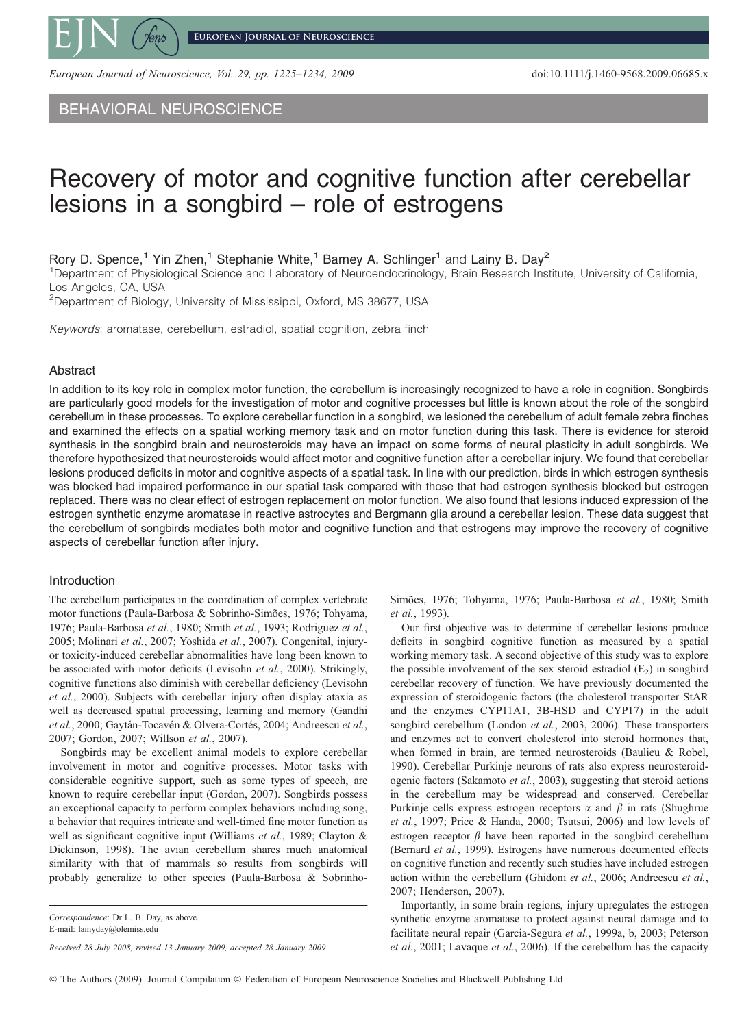

**European Journal of Neuroscience**

European Journal of Neuroscience, Vol. 29, pp. 1225–1234, 2009 doi:10.1111/j.1460-9568.2009.06685.x

# BEHAVIORAL NEUROSCIENCE

# Recovery of motor and cognitive function after cerebellar lesions in a songbird – role of estrogens

Rory D. Spence,<sup>1</sup> Yin Zhen,<sup>1</sup> Stephanie White,<sup>1</sup> Barney A. Schlinger<sup>1</sup> and Lainy B. Day<sup>2</sup>

<sup>1</sup>Department of Physiological Science and Laboratory of Neuroendocrinology, Brain Research Institute, University of California, Los Angeles, CA, USA

<sup>2</sup>Department of Biology, University of Mississippi, Oxford, MS 38677, USA

Keywords: aromatase, cerebellum, estradiol, spatial cognition, zebra finch

# Abstract

In addition to its key role in complex motor function, the cerebellum is increasingly recognized to have a role in cognition. Songbirds are particularly good models for the investigation of motor and cognitive processes but little is known about the role of the songbird cerebellum in these processes. To explore cerebellar function in a songbird, we lesioned the cerebellum of adult female zebra finches and examined the effects on a spatial working memory task and on motor function during this task. There is evidence for steroid synthesis in the songbird brain and neurosteroids may have an impact on some forms of neural plasticity in adult songbirds. We therefore hypothesized that neurosteroids would affect motor and cognitive function after a cerebellar injury. We found that cerebellar lesions produced deficits in motor and cognitive aspects of a spatial task. In line with our prediction, birds in which estrogen synthesis was blocked had impaired performance in our spatial task compared with those that had estrogen synthesis blocked but estrogen replaced. There was no clear effect of estrogen replacement on motor function. We also found that lesions induced expression of the estrogen synthetic enzyme aromatase in reactive astrocytes and Bergmann glia around a cerebellar lesion. These data suggest that the cerebellum of songbirds mediates both motor and cognitive function and that estrogens may improve the recovery of cognitive aspects of cerebellar function after injury.

# Introduction

The cerebellum participates in the coordination of complex vertebrate motor functions (Paula-Barbosa & Sobrinho-Simões, 1976; Tohyama, 1976; Paula-Barbosa et al., 1980; Smith et al., 1993; Rodriguez et al., 2005; Molinari et al., 2007; Yoshida et al., 2007). Congenital, injuryor toxicity-induced cerebellar abnormalities have long been known to be associated with motor deficits (Levisohn et al., 2000). Strikingly, cognitive functions also diminish with cerebellar deficiency (Levisohn et al., 2000). Subjects with cerebellar injury often display ataxia as well as decreased spatial processing, learning and memory (Gandhi et al., 2000; Gaytán-Tocavén & Olvera-Cortés, 2004; Andreescu et al., 2007; Gordon, 2007; Willson et al., 2007).

Songbirds may be excellent animal models to explore cerebellar involvement in motor and cognitive processes. Motor tasks with considerable cognitive support, such as some types of speech, are known to require cerebellar input (Gordon, 2007). Songbirds possess an exceptional capacity to perform complex behaviors including song, a behavior that requires intricate and well-timed fine motor function as well as significant cognitive input (Williams et al., 1989; Clayton & Dickinson, 1998). The avian cerebellum shares much anatomical similarity with that of mammals so results from songbirds will probably generalize to other species (Paula-Barbosa & Sobrinho-

Received 28 July 2008, revised 13 January 2009, accepted 28 January 2009

Simões, 1976; Tohyama, 1976; Paula-Barbosa et al., 1980; Smith et al., 1993).

Our first objective was to determine if cerebellar lesions produce deficits in songbird cognitive function as measured by a spatial working memory task. A second objective of this study was to explore the possible involvement of the sex steroid estradiol  $(E_2)$  in songbird cerebellar recovery of function. We have previously documented the expression of steroidogenic factors (the cholesterol transporter StAR and the enzymes CYP11A1, 3B-HSD and CYP17) in the adult songbird cerebellum (London et al., 2003, 2006). These transporters and enzymes act to convert cholesterol into steroid hormones that, when formed in brain, are termed neurosteroids (Baulieu & Robel, 1990). Cerebellar Purkinje neurons of rats also express neurosteroidogenic factors (Sakamoto et al., 2003), suggesting that steroid actions in the cerebellum may be widespread and conserved. Cerebellar Purkinje cells express estrogen receptors  $\alpha$  and  $\beta$  in rats (Shughrue et al., 1997; Price & Handa, 2000; Tsutsui, 2006) and low levels of estrogen receptor  $\beta$  have been reported in the songbird cerebellum (Bernard et al., 1999). Estrogens have numerous documented effects on cognitive function and recently such studies have included estrogen action within the cerebellum (Ghidoni et al., 2006; Andreescu et al., 2007; Henderson, 2007).

Importantly, in some brain regions, injury upregulates the estrogen synthetic enzyme aromatase to protect against neural damage and to facilitate neural repair (Garcia-Segura et al., 1999a, b, 2003; Peterson et al., 2001; Lavaque et al., 2006). If the cerebellum has the capacity

Correspondence: Dr L. B. Day, as above. E-mail: lainyday@olemiss.edu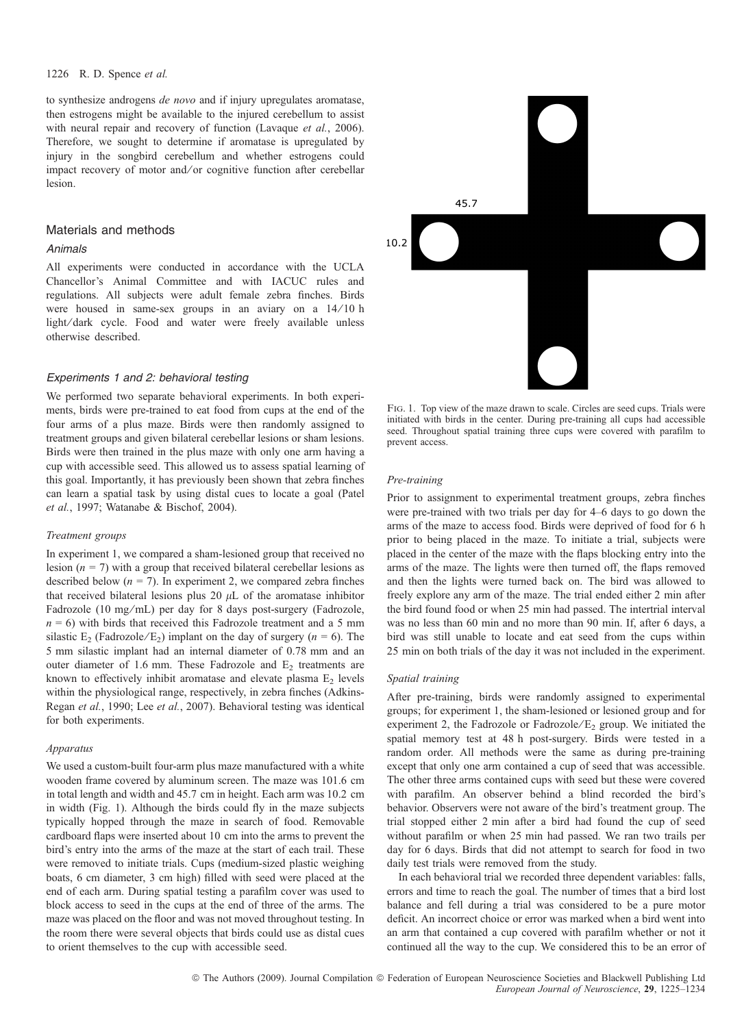to synthesize androgens de novo and if injury upregulates aromatase, then estrogens might be available to the injured cerebellum to assist with neural repair and recovery of function (Lavaque et al., 2006). Therefore, we sought to determine if aromatase is upregulated by injury in the songbird cerebellum and whether estrogens could impact recovery of motor and/or cognitive function after cerebellar lesion.

# Materials and methods

## Animals

All experiments were conducted in accordance with the UCLA Chancellor's Animal Committee and with IACUC rules and regulations. All subjects were adult female zebra finches. Birds were housed in same-sex groups in an aviary on a 14/10 h light/dark cycle. Food and water were freely available unless otherwise described.

# Experiments 1 and 2: behavioral testing

We performed two separate behavioral experiments. In both experiments, birds were pre-trained to eat food from cups at the end of the four arms of a plus maze. Birds were then randomly assigned to treatment groups and given bilateral cerebellar lesions or sham lesions. Birds were then trained in the plus maze with only one arm having a cup with accessible seed. This allowed us to assess spatial learning of this goal. Importantly, it has previously been shown that zebra finches can learn a spatial task by using distal cues to locate a goal (Patel et al., 1997; Watanabe & Bischof, 2004).

## Treatment groups

In experiment 1, we compared a sham-lesioned group that received no lesion ( $n = 7$ ) with a group that received bilateral cerebellar lesions as described below  $(n = 7)$ . In experiment 2, we compared zebra finches that received bilateral lesions plus 20  $\mu$ L of the aromatase inhibitor Fadrozole (10 mg/mL) per day for 8 days post-surgery (Fadrozole,  $n = 6$ ) with birds that received this Fadrozole treatment and a 5 mm silastic E<sub>2</sub> (Fadrozole/E<sub>2</sub>) implant on the day of surgery ( $n = 6$ ). The 5 mm silastic implant had an internal diameter of 0.78 mm and an outer diameter of 1.6 mm. These Fadrozole and  $E_2$  treatments are known to effectively inhibit aromatase and elevate plasma  $E<sub>2</sub>$  levels within the physiological range, respectively, in zebra finches (Adkins-Regan et al., 1990; Lee et al., 2007). Behavioral testing was identical for both experiments.

# Apparatus

We used a custom-built four-arm plus maze manufactured with a white wooden frame covered by aluminum screen. The maze was 101.6 cm in total length and width and 45.7 cm in height. Each arm was 10.2 cm in width (Fig. 1). Although the birds could fly in the maze subjects typically hopped through the maze in search of food. Removable cardboard flaps were inserted about 10 cm into the arms to prevent the bird's entry into the arms of the maze at the start of each trail. These were removed to initiate trials. Cups (medium-sized plastic weighing boats, 6 cm diameter, 3 cm high) filled with seed were placed at the end of each arm. During spatial testing a parafilm cover was used to block access to seed in the cups at the end of three of the arms. The maze was placed on the floor and was not moved throughout testing. In the room there were several objects that birds could use as distal cues to orient themselves to the cup with accessible seed.



Fig. 1. Top view of the maze drawn to scale. Circles are seed cups. Trials were initiated with birds in the center. During pre-training all cups had accessible seed. Throughout spatial training three cups were covered with parafilm to prevent access.

## Pre-training

Prior to assignment to experimental treatment groups, zebra finches were pre-trained with two trials per day for 4–6 days to go down the arms of the maze to access food. Birds were deprived of food for 6 h prior to being placed in the maze. To initiate a trial, subjects were placed in the center of the maze with the flaps blocking entry into the arms of the maze. The lights were then turned off, the flaps removed and then the lights were turned back on. The bird was allowed to freely explore any arm of the maze. The trial ended either 2 min after the bird found food or when 25 min had passed. The intertrial interval was no less than 60 min and no more than 90 min. If, after 6 days, a bird was still unable to locate and eat seed from the cups within 25 min on both trials of the day it was not included in the experiment.

# Spatial training

After pre-training, birds were randomly assigned to experimental groups; for experiment 1, the sham-lesioned or lesioned group and for experiment 2, the Fadrozole or Fadrozole/ $E_2$  group. We initiated the spatial memory test at 48 h post-surgery. Birds were tested in a random order. All methods were the same as during pre-training except that only one arm contained a cup of seed that was accessible. The other three arms contained cups with seed but these were covered with parafilm. An observer behind a blind recorded the bird's behavior. Observers were not aware of the bird's treatment group. The trial stopped either 2 min after a bird had found the cup of seed without parafilm or when 25 min had passed. We ran two trails per day for 6 days. Birds that did not attempt to search for food in two daily test trials were removed from the study.

In each behavioral trial we recorded three dependent variables: falls, errors and time to reach the goal. The number of times that a bird lost balance and fell during a trial was considered to be a pure motor deficit. An incorrect choice or error was marked when a bird went into an arm that contained a cup covered with parafilm whether or not it continued all the way to the cup. We considered this to be an error of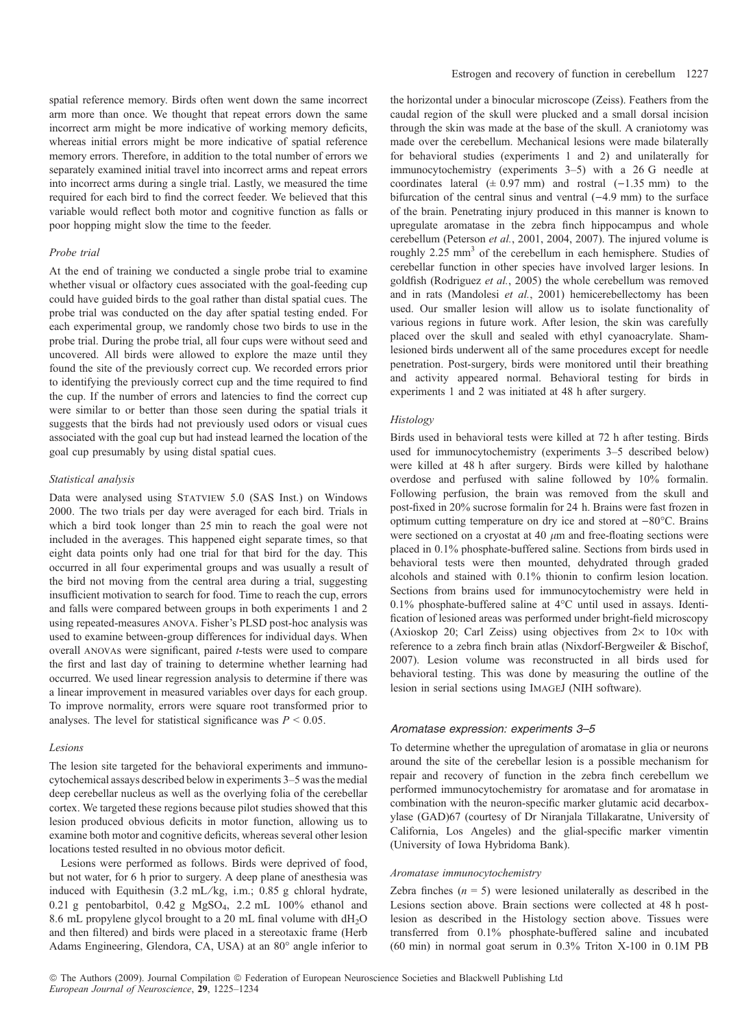spatial reference memory. Birds often went down the same incorrect arm more than once. We thought that repeat errors down the same incorrect arm might be more indicative of working memory deficits, whereas initial errors might be more indicative of spatial reference memory errors. Therefore, in addition to the total number of errors we separately examined initial travel into incorrect arms and repeat errors into incorrect arms during a single trial. Lastly, we measured the time required for each bird to find the correct feeder. We believed that this variable would reflect both motor and cognitive function as falls or poor hopping might slow the time to the feeder.

## Probe trial

At the end of training we conducted a single probe trial to examine whether visual or olfactory cues associated with the goal-feeding cup could have guided birds to the goal rather than distal spatial cues. The probe trial was conducted on the day after spatial testing ended. For each experimental group, we randomly chose two birds to use in the probe trial. During the probe trial, all four cups were without seed and uncovered. All birds were allowed to explore the maze until they found the site of the previously correct cup. We recorded errors prior to identifying the previously correct cup and the time required to find the cup. If the number of errors and latencies to find the correct cup were similar to or better than those seen during the spatial trials it suggests that the birds had not previously used odors or visual cues associated with the goal cup but had instead learned the location of the goal cup presumably by using distal spatial cues.

# Statistical analysis

Data were analysed using STATVIEW 5.0 (SAS Inst.) on Windows 2000. The two trials per day were averaged for each bird. Trials in which a bird took longer than 25 min to reach the goal were not included in the averages. This happened eight separate times, so that eight data points only had one trial for that bird for the day. This occurred in all four experimental groups and was usually a result of the bird not moving from the central area during a trial, suggesting insufficient motivation to search for food. Time to reach the cup, errors and falls were compared between groups in both experiments 1 and 2 using repeated-measures anova. Fisher's PLSD post-hoc analysis was used to examine between-group differences for individual days. When overall anovas were significant, paired t-tests were used to compare the first and last day of training to determine whether learning had occurred. We used linear regression analysis to determine if there was a linear improvement in measured variables over days for each group. To improve normality, errors were square root transformed prior to analyses. The level for statistical significance was  $P \leq 0.05$ .

## Lesions

The lesion site targeted for the behavioral experiments and immunocytochemical assays described below in experiments 3–5 was the medial deep cerebellar nucleus as well as the overlying folia of the cerebellar cortex. We targeted these regions because pilot studies showed that this lesion produced obvious deficits in motor function, allowing us to examine both motor and cognitive deficits, whereas several other lesion locations tested resulted in no obvious motor deficit.

Lesions were performed as follows. Birds were deprived of food, but not water, for 6 h prior to surgery. A deep plane of anesthesia was induced with Equithesin (3.2 mL/kg, i.m.; 0.85 g chloral hydrate, 0.21 g pentobarbitol, 0.42 g MgSO4, 2.2 mL 100% ethanol and 8.6 mL propylene glycol brought to a 20 mL final volume with  $dH_2O$ and then filtered) and birds were placed in a stereotaxic frame (Herb Adams Engineering, Glendora, CA, USA) at an 80° angle inferior to

the horizontal under a binocular microscope (Zeiss). Feathers from the caudal region of the skull were plucked and a small dorsal incision through the skin was made at the base of the skull. A craniotomy was made over the cerebellum. Mechanical lesions were made bilaterally for behavioral studies (experiments 1 and 2) and unilaterally for immunocytochemistry (experiments 3–5) with a 26 G needle at coordinates lateral  $(\pm 0.97 \text{ mm})$  and rostral  $(-1.35 \text{ mm})$  to the bifurcation of the central sinus and ventral  $(-4.9 \text{ mm})$  to the surface of the brain. Penetrating injury produced in this manner is known to upregulate aromatase in the zebra finch hippocampus and whole cerebellum (Peterson et al., 2001, 2004, 2007). The injured volume is roughly 2.25 mm<sup>3</sup> of the cerebellum in each hemisphere. Studies of cerebellar function in other species have involved larger lesions. In goldfish (Rodriguez et al., 2005) the whole cerebellum was removed and in rats (Mandolesi et al., 2001) hemicerebellectomy has been used. Our smaller lesion will allow us to isolate functionality of various regions in future work. After lesion, the skin was carefully placed over the skull and sealed with ethyl cyanoacrylate. Shamlesioned birds underwent all of the same procedures except for needle penetration. Post-surgery, birds were monitored until their breathing and activity appeared normal. Behavioral testing for birds in experiments 1 and 2 was initiated at 48 h after surgery.

#### Histology

Birds used in behavioral tests were killed at 72 h after testing. Birds used for immunocytochemistry (experiments 3–5 described below) were killed at 48 h after surgery. Birds were killed by halothane overdose and perfused with saline followed by 10% formalin. Following perfusion, the brain was removed from the skull and post-fixed in 20% sucrose formalin for 24 h. Brains were fast frozen in optimum cutting temperature on dry ice and stored at  $-80^{\circ}$ C. Brains were sectioned on a cryostat at 40  $\mu$ m and free-floating sections were placed in 0.1% phosphate-buffered saline. Sections from birds used in behavioral tests were then mounted, dehydrated through graded alcohols and stained with 0.1% thionin to confirm lesion location. Sections from brains used for immunocytochemistry were held in  $0.1\%$  phosphate-buffered saline at  $4^{\circ}$ C until used in assays. Identification of lesioned areas was performed under bright-field microscopy (Axioskop 20; Carl Zeiss) using objectives from  $2 \times$  to  $10 \times$  with reference to a zebra finch brain atlas (Nixdorf-Bergweiler & Bischof, 2007). Lesion volume was reconstructed in all birds used for behavioral testing. This was done by measuring the outline of the lesion in serial sections using ImageJ (NIH software).

## Aromatase expression: experiments 3–5

To determine whether the upregulation of aromatase in glia or neurons around the site of the cerebellar lesion is a possible mechanism for repair and recovery of function in the zebra finch cerebellum we performed immunocytochemistry for aromatase and for aromatase in combination with the neuron-specific marker glutamic acid decarboxylase (GAD)67 (courtesy of Dr Niranjala Tillakaratne, University of California, Los Angeles) and the glial-specific marker vimentin (University of Iowa Hybridoma Bank).

## Aromatase immunocytochemistry

Zebra finches  $(n = 5)$  were lesioned unilaterally as described in the Lesions section above. Brain sections were collected at 48 h postlesion as described in the Histology section above. Tissues were transferred from 0.1% phosphate-buffered saline and incubated (60 min) in normal goat serum in 0.3% Triton X-100 in 0.1M PB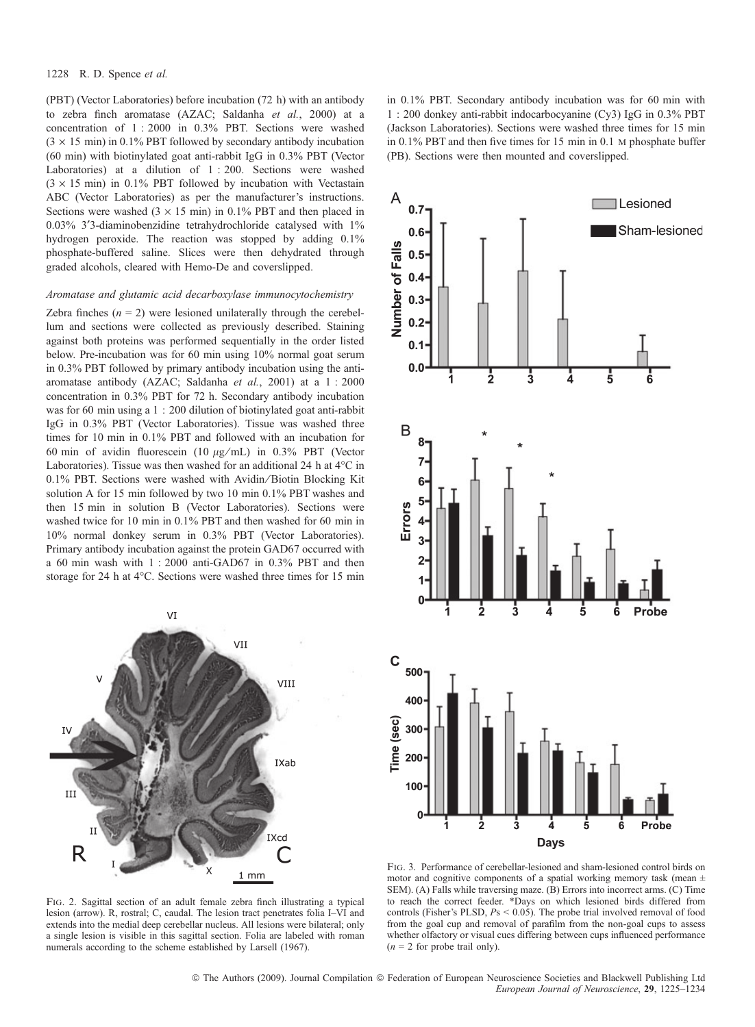(PBT) (Vector Laboratories) before incubation (72 h) with an antibody to zebra finch aromatase (AZAC; Saldanha et al., 2000) at a concentration of 1 : 2000 in 0.3% PBT. Sections were washed  $(3 \times 15 \text{ min})$  in 0.1% PBT followed by secondary antibody incubation (60 min) with biotinylated goat anti-rabbit IgG in 0.3% PBT (Vector Laboratories) at a dilution of 1 : 200. Sections were washed  $(3 \times 15 \text{ min})$  in 0.1% PBT followed by incubation with Vectastain ABC (Vector Laboratories) as per the manufacturer's instructions. Sections were washed  $(3 \times 15 \text{ min})$  in 0.1% PBT and then placed in 0.03% 3¢3-diaminobenzidine tetrahydrochloride catalysed with 1% hydrogen peroxide. The reaction was stopped by adding 0.1% phosphate-buffered saline. Slices were then dehydrated through graded alcohols, cleared with Hemo-De and coverslipped.

## Aromatase and glutamic acid decarboxylase immunocytochemistry

Zebra finches  $(n = 2)$  were lesioned unilaterally through the cerebellum and sections were collected as previously described. Staining against both proteins was performed sequentially in the order listed below. Pre-incubation was for 60 min using 10% normal goat serum in 0.3% PBT followed by primary antibody incubation using the antiaromatase antibody (AZAC; Saldanha et al., 2001) at a 1 : 2000 concentration in 0.3% PBT for 72 h. Secondary antibody incubation was for 60 min using a 1 : 200 dilution of biotinylated goat anti-rabbit IgG in 0.3% PBT (Vector Laboratories). Tissue was washed three times for 10 min in 0.1% PBT and followed with an incubation for 60 min of avidin fluorescein (10  $\mu$ g/mL) in 0.3% PBT (Vector Laboratories). Tissue was then washed for an additional 24 h at  $4^{\circ}$ C in 0.1% PBT. Sections were washed with Avidin/Biotin Blocking Kit solution A for 15 min followed by two 10 min 0.1% PBT washes and then 15 min in solution B (Vector Laboratories). Sections were washed twice for 10 min in 0.1% PBT and then washed for 60 min in 10% normal donkey serum in 0.3% PBT (Vector Laboratories). Primary antibody incubation against the protein GAD67 occurred with a 60 min wash with 1 : 2000 anti-GAD67 in 0.3% PBT and then storage for 24 h at  $4^{\circ}$ C. Sections were washed three times for 15 min



Fig. 2. Sagittal section of an adult female zebra finch illustrating a typical lesion (arrow). R, rostral; C, caudal. The lesion tract penetrates folia I–VI and extends into the medial deep cerebellar nucleus. All lesions were bilateral; only a single lesion is visible in this sagittal section. Folia are labeled with roman numerals according to the scheme established by Larsell (1967).

in 0.1% PBT. Secondary antibody incubation was for 60 min with 1 : 200 donkey anti-rabbit indocarbocyanine (Cy3) IgG in 0.3% PBT (Jackson Laboratories). Sections were washed three times for 15 min in 0.1% PBT and then five times for 15 min in 0.1 m phosphate buffer (PB). Sections were then mounted and coverslipped.



Fig. 3. Performance of cerebellar-lesioned and sham-lesioned control birds on motor and cognitive components of a spatial working memory task (mean  $\pm$ SEM). (A) Falls while traversing maze. (B) Errors into incorrect arms. (C) Time to reach the correct feeder. \*Days on which lesioned birds differed from controls (Fisher's PLSD,  $Ps < 0.05$ ). The probe trial involved removal of food from the goal cup and removal of parafilm from the non-goal cups to assess whether olfactory or visual cues differing between cups influenced performance  $(n = 2$  for probe trail only).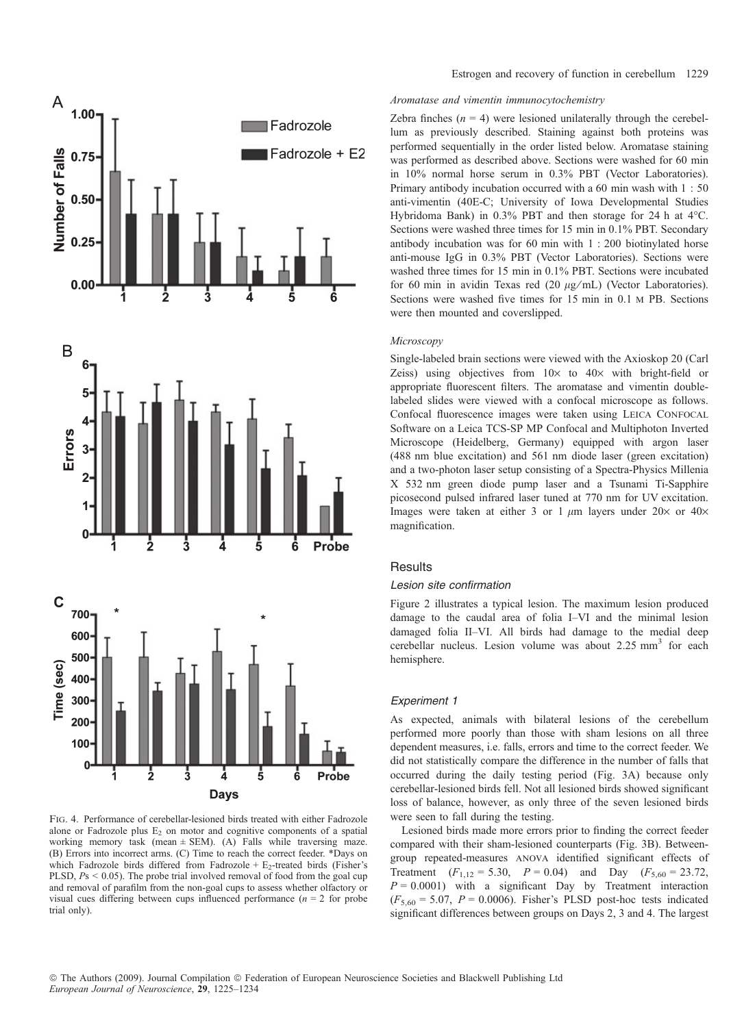

Fig. 4. Performance of cerebellar-lesioned birds treated with either Fadrozole alone or Fadrozole plus  $E_2$  on motor and cognitive components of a spatial working memory task (mean  $\pm$  SEM). (A) Falls while traversing maze. (B) Errors into incorrect arms. (C) Time to reach the correct feeder. \*Days on which Fadrozole birds differed from Fadrozole +  $E_2$ -treated birds (Fisher's PLSD,  $Ps < 0.05$ ). The probe trial involved removal of food from the goal cup and removal of parafilm from the non-goal cups to assess whether olfactory or visual cues differing between cups influenced performance ( $n = 2$  for probe trial only).

# Estrogen and recovery of function in cerebellum 1229

## Aromatase and vimentin immunocytochemistry

Zebra finches  $(n = 4)$  were lesioned unilaterally through the cerebellum as previously described. Staining against both proteins was performed sequentially in the order listed below. Aromatase staining was performed as described above. Sections were washed for 60 min in 10% normal horse serum in 0.3% PBT (Vector Laboratories). Primary antibody incubation occurred with a 60 min wash with 1 : 50 anti-vimentin (40E-C; University of Iowa Developmental Studies Hybridoma Bank) in  $0.3\%$  PBT and then storage for 24 h at  $4^{\circ}$ C. Sections were washed three times for 15 min in 0.1% PBT. Secondary antibody incubation was for 60 min with 1 : 200 biotinylated horse anti-mouse IgG in 0.3% PBT (Vector Laboratories). Sections were washed three times for 15 min in 0.1% PBT. Sections were incubated for 60 min in avidin Texas red (20  $\mu$ g/mL) (Vector Laboratories). Sections were washed five times for 15 min in 0.1 m PB. Sections were then mounted and coverslipped.

#### **Microscopy**

Single-labeled brain sections were viewed with the Axioskop 20 (Carl Zeiss) using objectives from  $10\times$  to  $40\times$  with bright-field or appropriate fluorescent filters. The aromatase and vimentin doublelabeled slides were viewed with a confocal microscope as follows. Confocal fluorescence images were taken using LEICA CONFOCAL Software on a Leica TCS-SP MP Confocal and Multiphoton Inverted Microscope (Heidelberg, Germany) equipped with argon laser (488 nm blue excitation) and 561 nm diode laser (green excitation) and a two-photon laser setup consisting of a Spectra-Physics Millenia X 532 nm green diode pump laser and a Tsunami Ti-Sapphire picosecond pulsed infrared laser tuned at 770 nm for UV excitation. Images were taken at either 3 or 1  $\mu$ m layers under 20 $\times$  or 40 $\times$ magnification.

# **Results**

# Lesion site confirmation

Figure 2 illustrates a typical lesion. The maximum lesion produced damage to the caudal area of folia I–VI and the minimal lesion damaged folia II–VI. All birds had damage to the medial deep cerebellar nucleus. Lesion volume was about 2.25 mm<sup>3</sup> for each hemisphere.

# Experiment 1

As expected, animals with bilateral lesions of the cerebellum performed more poorly than those with sham lesions on all three dependent measures, i.e. falls, errors and time to the correct feeder. We did not statistically compare the difference in the number of falls that occurred during the daily testing period (Fig. 3A) because only cerebellar-lesioned birds fell. Not all lesioned birds showed significant loss of balance, however, as only three of the seven lesioned birds were seen to fall during the testing.

Lesioned birds made more errors prior to finding the correct feeder compared with their sham-lesioned counterparts (Fig. 3B). Betweengroup repeated-measures anova identified significant effects of Treatment  $(F_{1,12} = 5.30, P = 0.04)$  and Day  $(F_{5,60} = 23.72,$  $P = 0.0001$ ) with a significant Day by Treatment interaction  $(F_{5,60} = 5.07, P = 0.0006)$ . Fisher's PLSD post-hoc tests indicated significant differences between groups on Days 2, 3 and 4. The largest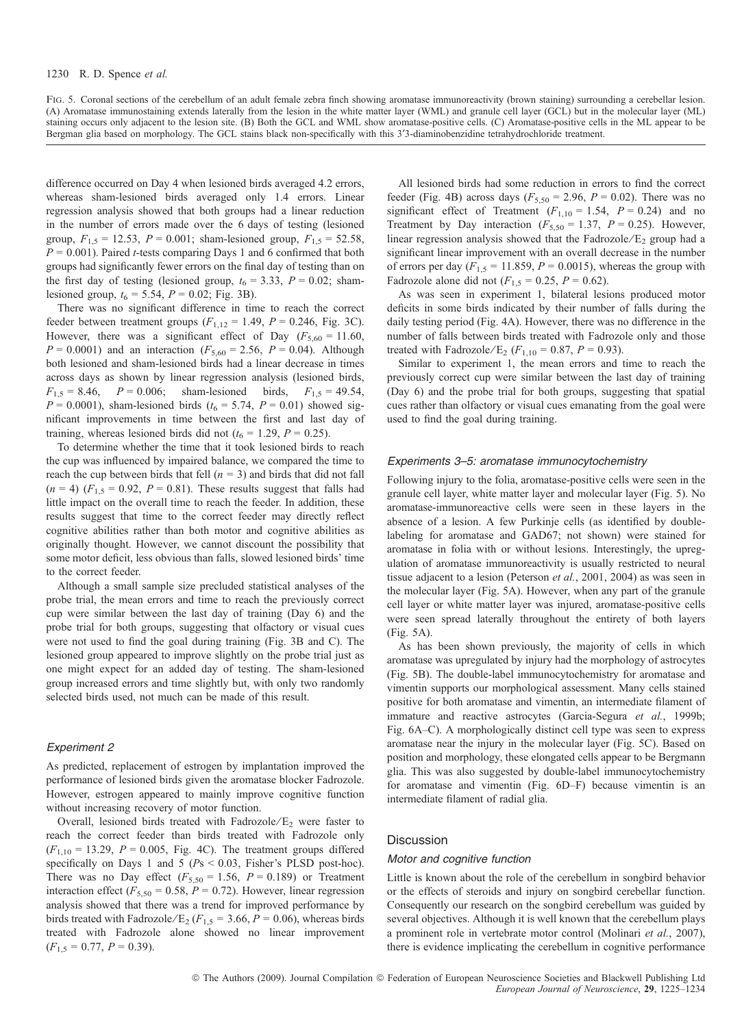Fig. 5. Coronal sections of the cerebellum of an adult female zebra finch showing aromatase immunoreactivity (brown staining) surrounding a cerebellar lesion. (A) Aromatase immunostaining extends laterally from the lesion in the white matter layer (WML) and granule cell layer (GCL) but in the molecular layer (ML) staining occurs only adjacent to the lesion site. (B) Both the GCL and WML show aromatase-positive cells. (C) Aromatase-positive cells in the ML appear to be Bergman glia based on morphology. The GCL stains black non-specifically with this 3<sup>7</sup>3-diaminobenzidine tetrahydrochloride treatment.

difference occurred on Day 4 when lesioned birds averaged 4.2 errors, whereas sham-lesioned birds averaged only 1.4 errors. Linear regression analysis showed that both groups had a linear reduction in the number of errors made over the 6 days of testing (lesioned group,  $F_{1,5} = 12.53$ ,  $P = 0.001$ ; sham-lesioned group,  $F_{1,5} = 52.58$ ,  $P = 0.001$ ). Paired *t*-tests comparing Days 1 and 6 confirmed that both groups had significantly fewer errors on the final day of testing than on the first day of testing (lesioned group,  $t_6 = 3.33$ ,  $P = 0.02$ ; shamlesioned group,  $t_6 = 5.54$ ,  $P = 0.02$ ; Fig. 3B).

There was no significant difference in time to reach the correct feeder between treatment groups ( $F_{1,12} = 1.49$ ,  $P = 0.246$ , Fig. 3C). However, there was a significant effect of Day  $(F_{5,60} = 11.60,$  $P = 0.0001$ ) and an interaction ( $F_{5,60} = 2.56$ ,  $P = 0.04$ ). Although both lesioned and sham-lesioned birds had a linear decrease in times across days as shown by linear regression analysis (lesioned birds,  $F_{1,5} = 8.46$ ,  $P = 0.006$ ; sham-lesioned birds,  $F_{1,5} = 49.54$ ,  $P = 0.0001$ ), sham-lesioned birds ( $t<sub>6</sub> = 5.74$ ,  $P = 0.01$ ) showed significant improvements in time between the first and last day of training, whereas lesioned birds did not ( $t_6 = 1.29$ ,  $P = 0.25$ ).

To determine whether the time that it took lesioned birds to reach the cup was influenced by impaired balance, we compared the time to reach the cup between birds that fell  $(n = 3)$  and birds that did not fall  $(n = 4)$   $(F<sub>15</sub> = 0.92, P = 0.81)$ . These results suggest that falls had little impact on the overall time to reach the feeder. In addition, these results suggest that time to the correct feeder may directly reflect cognitive abilities rather than both motor and cognitive abilities as originally thought. However, we cannot discount the possibility that some motor deficit, less obvious than falls, slowed lesioned birds' time to the correct feeder.

Although a small sample size precluded statistical analyses of the probe trial, the mean errors and time to reach the previously correct cup were similar between the last day of training (Day 6) and the probe trial for both groups, suggesting that olfactory or visual cues were not used to find the goal during training (Fig. 3B and C). The lesioned group appeared to improve slightly on the probe trial just as one might expect for an added day of testing. The sham-lesioned group increased errors and time slightly but, with only two randomly selected birds used, not much can be made of this result.

#### Experiment 2

As predicted, replacement of estrogen by implantation improved the performance of lesioned birds given the aromatase blocker Fadrozole. However, estrogen appeared to mainly improve cognitive function without increasing recovery of motor function.

Overall, lesioned birds treated with Fadrozole/ $E_2$  were faster to reach the correct feeder than birds treated with Fadrozole only  $(F_{1,10} = 13.29, P = 0.005, Fig. 4C)$ . The treatment groups differed specifically on Days 1 and 5 ( $Ps$  < 0.03, Fisher's PLSD post-hoc). There was no Day effect  $(F_{5,50} = 1.56, P = 0.189)$  or Treatment interaction effect ( $F_{5,50}$  = 0.58,  $P = 0.72$ ). However, linear regression analysis showed that there was a trend for improved performance by birds treated with Fadrozole/ $E_2$  ( $F_{1,5}$  = 3.66,  $P$  = 0.06), whereas birds treated with Fadrozole alone showed no linear improvement  $(F_{1,5} = 0.77, P = 0.39).$ 

All lesioned birds had some reduction in errors to find the correct feeder (Fig. 4B) across days ( $F_{5,50}$  = 2.96,  $P = 0.02$ ). There was no significant effect of Treatment  $(F_{1,10} = 1.54, P = 0.24)$  and no Treatment by Day interaction ( $F_{5,50} = 1.37$ ,  $P = 0.25$ ). However, linear regression analysis showed that the Fadrozole/ $E_2$  group had a significant linear improvement with an overall decrease in the number of errors per day  $(F_{1,5} = 11.859, P = 0.0015)$ , whereas the group with Fadrozole alone did not ( $F_{1,5} = 0.25$ ,  $P = 0.62$ ).

As was seen in experiment 1, bilateral lesions produced motor deficits in some birds indicated by their number of falls during the daily testing period (Fig. 4A). However, there was no difference in the number of falls between birds treated with Fadrozole only and those treated with Fadrozole/E<sub>2</sub> ( $F_{1,10} = 0.87$ ,  $P = 0.93$ ).

Similar to experiment 1, the mean errors and time to reach the previously correct cup were similar between the last day of training (Day 6) and the probe trial for both groups, suggesting that spatial cues rather than olfactory or visual cues emanating from the goal were used to find the goal during training.

#### Experiments 3–5: aromatase immunocytochemistry

Following injury to the folia, aromatase-positive cells were seen in the granule cell layer, white matter layer and molecular layer (Fig. 5). No aromatase-immunoreactive cells were seen in these layers in the absence of a lesion. A few Purkinje cells (as identified by doublelabeling for aromatase and GAD67; not shown) were stained for aromatase in folia with or without lesions. Interestingly, the upregulation of aromatase immunoreactivity is usually restricted to neural tissue adjacent to a lesion (Peterson et al., 2001, 2004) as was seen in the molecular layer (Fig. 5A). However, when any part of the granule cell layer or white matter layer was injured, aromatase-positive cells were seen spread laterally throughout the entirety of both layers (Fig. 5A).

As has been shown previously, the majority of cells in which aromatase was upregulated by injury had the morphology of astrocytes (Fig. 5B). The double-label immunocytochemistry for aromatase and vimentin supports our morphological assessment. Many cells stained positive for both aromatase and vimentin, an intermediate filament of immature and reactive astrocytes (Garcia-Segura et al., 1999b; Fig. 6A–C). A morphologically distinct cell type was seen to express aromatase near the injury in the molecular layer (Fig. 5C). Based on position and morphology, these elongated cells appear to be Bergmann glia. This was also suggested by double-label immunocytochemistry for aromatase and vimentin (Fig. 6D–F) because vimentin is an intermediate filament of radial glia.

#### **Discussion**

## Motor and cognitive function

Little is known about the role of the cerebellum in songbird behavior or the effects of steroids and injury on songbird cerebellar function. Consequently our research on the songbird cerebellum was guided by several objectives. Although it is well known that the cerebellum plays a prominent role in vertebrate motor control (Molinari et al., 2007), there is evidence implicating the cerebellum in cognitive performance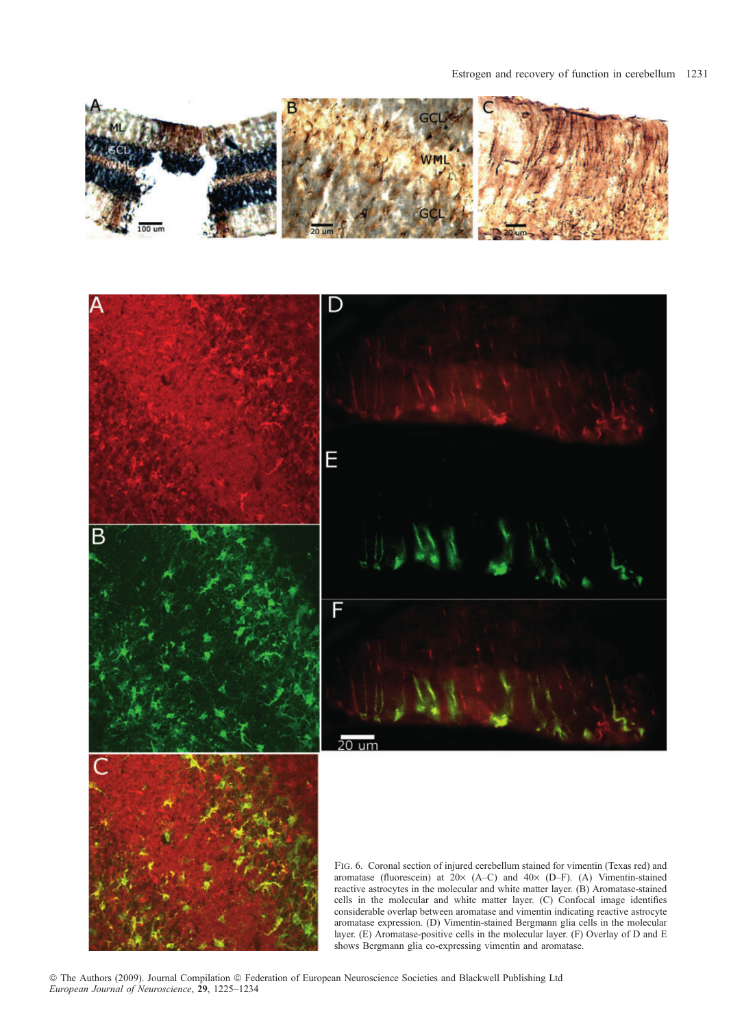



ª The Authors (2009). Journal Compilation ª Federation of European Neuroscience Societies and Blackwell Publishing Ltd European Journal of Neuroscience, 29, 1225–1234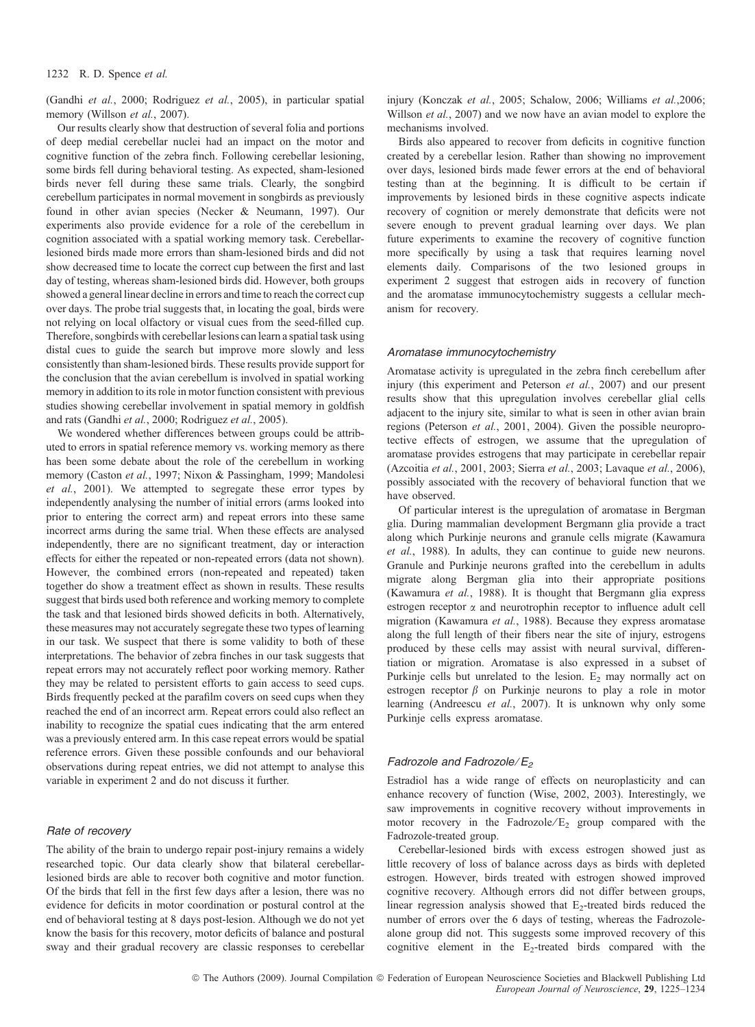(Gandhi et al., 2000; Rodriguez et al., 2005), in particular spatial memory (Willson et al., 2007).

Our results clearly show that destruction of several folia and portions of deep medial cerebellar nuclei had an impact on the motor and cognitive function of the zebra finch. Following cerebellar lesioning, some birds fell during behavioral testing. As expected, sham-lesioned birds never fell during these same trials. Clearly, the songbird cerebellum participates in normal movement in songbirds as previously found in other avian species (Necker & Neumann, 1997). Our experiments also provide evidence for a role of the cerebellum in cognition associated with a spatial working memory task. Cerebellarlesioned birds made more errors than sham-lesioned birds and did not show decreased time to locate the correct cup between the first and last day of testing, whereas sham-lesioned birds did. However, both groups showed a general linear decline in errors and time to reach the correct cup over days. The probe trial suggests that, in locating the goal, birds were not relying on local olfactory or visual cues from the seed-filled cup. Therefore, songbirds with cerebellar lesions can learn a spatial task using distal cues to guide the search but improve more slowly and less consistently than sham-lesioned birds. These results provide support for the conclusion that the avian cerebellum is involved in spatial working memory in addition to its role in motor function consistent with previous studies showing cerebellar involvement in spatial memory in goldfish and rats (Gandhi et al., 2000; Rodriguez et al., 2005).

We wondered whether differences between groups could be attributed to errors in spatial reference memory vs. working memory as there has been some debate about the role of the cerebellum in working memory (Caston et al., 1997; Nixon & Passingham, 1999; Mandolesi et al., 2001). We attempted to segregate these error types by independently analysing the number of initial errors (arms looked into prior to entering the correct arm) and repeat errors into these same incorrect arms during the same trial. When these effects are analysed independently, there are no significant treatment, day or interaction effects for either the repeated or non-repeated errors (data not shown). However, the combined errors (non-repeated and repeated) taken together do show a treatment effect as shown in results. These results suggest that birds used both reference and working memory to complete the task and that lesioned birds showed deficits in both. Alternatively, these measures may not accurately segregate these two types of learning in our task. We suspect that there is some validity to both of these interpretations. The behavior of zebra finches in our task suggests that repeat errors may not accurately reflect poor working memory. Rather they may be related to persistent efforts to gain access to seed cups. Birds frequently pecked at the parafilm covers on seed cups when they reached the end of an incorrect arm. Repeat errors could also reflect an inability to recognize the spatial cues indicating that the arm entered was a previously entered arm. In this case repeat errors would be spatial reference errors. Given these possible confounds and our behavioral observations during repeat entries, we did not attempt to analyse this variable in experiment 2 and do not discuss it further.

## Rate of recovery

The ability of the brain to undergo repair post-injury remains a widely researched topic. Our data clearly show that bilateral cerebellarlesioned birds are able to recover both cognitive and motor function. Of the birds that fell in the first few days after a lesion, there was no evidence for deficits in motor coordination or postural control at the end of behavioral testing at 8 days post-lesion. Although we do not yet know the basis for this recovery, motor deficits of balance and postural sway and their gradual recovery are classic responses to cerebellar

injury (Konczak et al., 2005; Schalow, 2006; Williams et al.,2006; Willson *et al.*, 2007) and we now have an avian model to explore the mechanisms involved.

Birds also appeared to recover from deficits in cognitive function created by a cerebellar lesion. Rather than showing no improvement over days, lesioned birds made fewer errors at the end of behavioral testing than at the beginning. It is difficult to be certain if improvements by lesioned birds in these cognitive aspects indicate recovery of cognition or merely demonstrate that deficits were not severe enough to prevent gradual learning over days. We plan future experiments to examine the recovery of cognitive function more specifically by using a task that requires learning novel elements daily. Comparisons of the two lesioned groups in experiment 2 suggest that estrogen aids in recovery of function and the aromatase immunocytochemistry suggests a cellular mechanism for recovery.

# Aromatase immunocytochemistry

Aromatase activity is upregulated in the zebra finch cerebellum after injury (this experiment and Peterson et al., 2007) and our present results show that this upregulation involves cerebellar glial cells adjacent to the injury site, similar to what is seen in other avian brain regions (Peterson et al., 2001, 2004). Given the possible neuroprotective effects of estrogen, we assume that the upregulation of aromatase provides estrogens that may participate in cerebellar repair (Azcoitia et al., 2001, 2003; Sierra et al., 2003; Lavaque et al., 2006), possibly associated with the recovery of behavioral function that we have observed.

Of particular interest is the upregulation of aromatase in Bergman glia. During mammalian development Bergmann glia provide a tract along which Purkinje neurons and granule cells migrate (Kawamura et al., 1988). In adults, they can continue to guide new neurons. Granule and Purkinje neurons grafted into the cerebellum in adults migrate along Bergman glia into their appropriate positions (Kawamura et al., 1988). It is thought that Bergmann glia express estrogen receptor  $\alpha$  and neurotrophin receptor to influence adult cell migration (Kawamura et al., 1988). Because they express aromatase along the full length of their fibers near the site of injury, estrogens produced by these cells may assist with neural survival, differentiation or migration. Aromatase is also expressed in a subset of Purkinje cells but unrelated to the lesion.  $E_2$  may normally act on estrogen receptor  $\beta$  on Purkinje neurons to play a role in motor learning (Andreescu et al., 2007). It is unknown why only some Purkinje cells express aromatase.

# Fadrozole and Fadrozole/ $E_2$

Estradiol has a wide range of effects on neuroplasticity and can enhance recovery of function (Wise, 2002, 2003). Interestingly, we saw improvements in cognitive recovery without improvements in motor recovery in the Fadrozole/ $E<sub>2</sub>$  group compared with the Fadrozole-treated group.

Cerebellar-lesioned birds with excess estrogen showed just as little recovery of loss of balance across days as birds with depleted estrogen. However, birds treated with estrogen showed improved cognitive recovery. Although errors did not differ between groups, linear regression analysis showed that  $E_2$ -treated birds reduced the number of errors over the 6 days of testing, whereas the Fadrozolealone group did not. This suggests some improved recovery of this cognitive element in the  $E_2$ -treated birds compared with the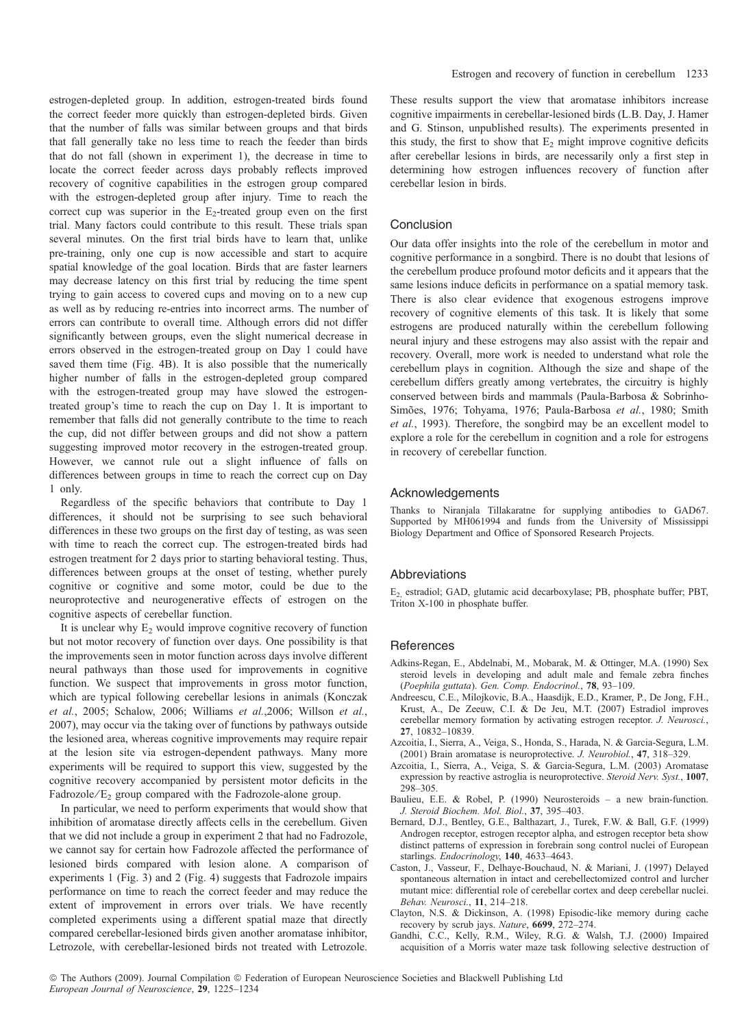estrogen-depleted group. In addition, estrogen-treated birds found the correct feeder more quickly than estrogen-depleted birds. Given that the number of falls was similar between groups and that birds that fall generally take no less time to reach the feeder than birds that do not fall (shown in experiment 1), the decrease in time to locate the correct feeder across days probably reflects improved recovery of cognitive capabilities in the estrogen group compared with the estrogen-depleted group after injury. Time to reach the correct cup was superior in the  $E_2$ -treated group even on the first trial. Many factors could contribute to this result. These trials span several minutes. On the first trial birds have to learn that, unlike pre-training, only one cup is now accessible and start to acquire spatial knowledge of the goal location. Birds that are faster learners may decrease latency on this first trial by reducing the time spent trying to gain access to covered cups and moving on to a new cup as well as by reducing re-entries into incorrect arms. The number of errors can contribute to overall time. Although errors did not differ significantly between groups, even the slight numerical decrease in errors observed in the estrogen-treated group on Day 1 could have saved them time (Fig. 4B). It is also possible that the numerically higher number of falls in the estrogen-depleted group compared with the estrogen-treated group may have slowed the estrogentreated group's time to reach the cup on Day 1. It is important to remember that falls did not generally contribute to the time to reach the cup, did not differ between groups and did not show a pattern suggesting improved motor recovery in the estrogen-treated group. However, we cannot rule out a slight influence of falls on differences between groups in time to reach the correct cup on Day 1 only.

Regardless of the specific behaviors that contribute to Day 1 differences, it should not be surprising to see such behavioral differences in these two groups on the first day of testing, as was seen with time to reach the correct cup. The estrogen-treated birds had estrogen treatment for 2 days prior to starting behavioral testing. Thus, differences between groups at the onset of testing, whether purely cognitive or cognitive and some motor, could be due to the neuroprotective and neurogenerative effects of estrogen on the cognitive aspects of cerebellar function.

It is unclear why  $E_2$  would improve cognitive recovery of function but not motor recovery of function over days. One possibility is that the improvements seen in motor function across days involve different neural pathways than those used for improvements in cognitive function. We suspect that improvements in gross motor function, which are typical following cerebellar lesions in animals (Konczak et al., 2005; Schalow, 2006; Williams et al.,2006; Willson et al., 2007), may occur via the taking over of functions by pathways outside the lesioned area, whereas cognitive improvements may require repair at the lesion site via estrogen-dependent pathways. Many more experiments will be required to support this view, suggested by the cognitive recovery accompanied by persistent motor deficits in the Fadrozole/ $E<sub>2</sub>$  group compared with the Fadrozole-alone group.

In particular, we need to perform experiments that would show that inhibition of aromatase directly affects cells in the cerebellum. Given that we did not include a group in experiment 2 that had no Fadrozole, we cannot say for certain how Fadrozole affected the performance of lesioned birds compared with lesion alone. A comparison of experiments 1 (Fig. 3) and 2 (Fig. 4) suggests that Fadrozole impairs performance on time to reach the correct feeder and may reduce the extent of improvement in errors over trials. We have recently completed experiments using a different spatial maze that directly compared cerebellar-lesioned birds given another aromatase inhibitor, Letrozole, with cerebellar-lesioned birds not treated with Letrozole.

These results support the view that aromatase inhibitors increase cognitive impairments in cerebellar-lesioned birds (L.B. Day, J. Hamer and G. Stinson, unpublished results). The experiments presented in this study, the first to show that  $E_2$  might improve cognitive deficits after cerebellar lesions in birds, are necessarily only a first step in determining how estrogen influences recovery of function after cerebellar lesion in birds.

# Conclusion

Our data offer insights into the role of the cerebellum in motor and cognitive performance in a songbird. There is no doubt that lesions of the cerebellum produce profound motor deficits and it appears that the same lesions induce deficits in performance on a spatial memory task. There is also clear evidence that exogenous estrogens improve recovery of cognitive elements of this task. It is likely that some estrogens are produced naturally within the cerebellum following neural injury and these estrogens may also assist with the repair and recovery. Overall, more work is needed to understand what role the cerebellum plays in cognition. Although the size and shape of the cerebellum differs greatly among vertebrates, the circuitry is highly conserved between birds and mammals (Paula-Barbosa & Sobrinho-Simões, 1976; Tohyama, 1976; Paula-Barbosa et al., 1980; Smith et al., 1993). Therefore, the songbird may be an excellent model to explore a role for the cerebellum in cognition and a role for estrogens in recovery of cerebellar function.

# Acknowledgements

Thanks to Niranjala Tillakaratne for supplying antibodies to GAD67. Supported by MH061994 and funds from the University of Mississippi Biology Department and Office of Sponsored Research Projects.

# Abbreviations

E2, estradiol; GAD, glutamic acid decarboxylase; PB, phosphate buffer; PBT, Triton X-100 in phosphate buffer.

#### References

- Adkins-Regan, E., Abdelnabi, M., Mobarak, M. & Ottinger, M.A. (1990) Sex steroid levels in developing and adult male and female zebra finches (Poephila guttata). Gen. Comp. Endocrinol., 78, 93–109.
- Andreescu, C.E., Milojkovic, B.A., Haasdijk, E.D., Kramer, P., De Jong, F.H., Krust, A., De Zeeuw, C.I. & De Jeu, M.T. (2007) Estradiol improves cerebellar memory formation by activating estrogen receptor. J. Neurosci., 27, 10832–10839.
- Azcoitia, I., Sierra, A., Veiga, S., Honda, S., Harada, N. & Garcia-Segura, L.M. (2001) Brain aromatase is neuroprotective. J. Neurobiol., 47, 318–329.
- Azcoitia, I., Sierra, A., Veiga, S. & Garcia-Segura, L.M. (2003) Aromatase expression by reactive astroglia is neuroprotective. Steroid Nerv. Syst., 1007, 298–305.
- Baulieu, E.E. & Robel, P. (1990) Neurosteroids a new brain-function. J. Steroid Biochem. Mol. Biol., 37, 395–403.
- Bernard, D.J., Bentley, G.E., Balthazart, J., Turek, F.W. & Ball, G.F. (1999) Androgen receptor, estrogen receptor alpha, and estrogen receptor beta show distinct patterns of expression in forebrain song control nuclei of European starlings. Endocrinology, 140, 4633-4643.
- Caston, J., Vasseur, F., Delhaye-Bouchaud, N. & Mariani, J. (1997) Delayed spontaneous alternation in intact and cerebellectomized control and lurcher mutant mice: differential role of cerebellar cortex and deep cerebellar nuclei. Behav. Neurosci., 11, 214–218.
- Clayton, N.S. & Dickinson, A. (1998) Episodic-like memory during cache recovery by scrub jays. Nature, 6699, 272–274.
- Gandhi, C.C., Kelly, R.M., Wiley, R.G. & Walsh, T.J. (2000) Impaired acquisition of a Morris water maze task following selective destruction of